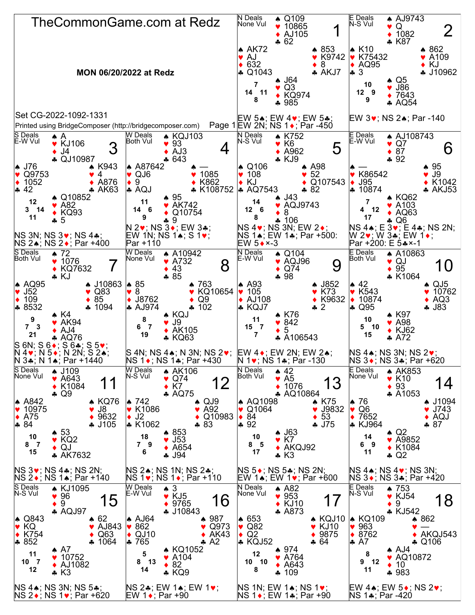